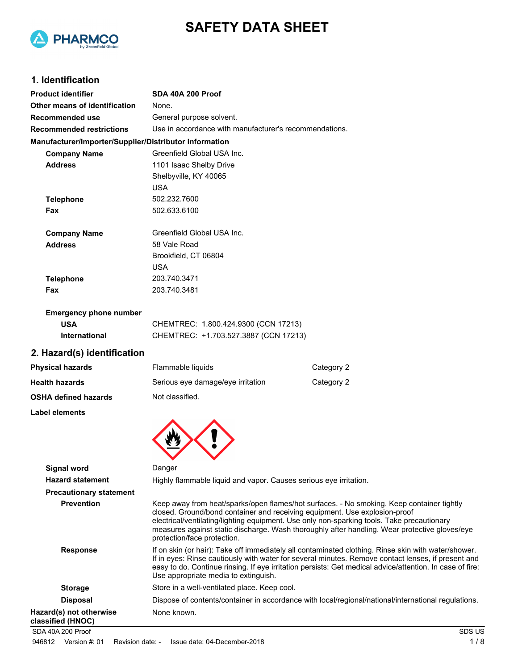



# **1. Identification**

| <b>Product identifier</b>                              | SDA 40A 200 Proof                                                                                                                                                                                                                                                                                       |            |
|--------------------------------------------------------|---------------------------------------------------------------------------------------------------------------------------------------------------------------------------------------------------------------------------------------------------------------------------------------------------------|------------|
| Other means of identification                          | None.                                                                                                                                                                                                                                                                                                   |            |
| Recommended use                                        | General purpose solvent.                                                                                                                                                                                                                                                                                |            |
| <b>Recommended restrictions</b>                        | Use in accordance with manufacturer's recommendations.                                                                                                                                                                                                                                                  |            |
| Manufacturer/Importer/Supplier/Distributor information |                                                                                                                                                                                                                                                                                                         |            |
| <b>Company Name</b>                                    | Greenfield Global USA Inc.                                                                                                                                                                                                                                                                              |            |
| <b>Address</b>                                         | 1101 Isaac Shelby Drive                                                                                                                                                                                                                                                                                 |            |
|                                                        | Shelbyville, KY 40065                                                                                                                                                                                                                                                                                   |            |
|                                                        | <b>USA</b>                                                                                                                                                                                                                                                                                              |            |
| <b>Telephone</b>                                       | 502.232.7600                                                                                                                                                                                                                                                                                            |            |
| Fax                                                    | 502.633.6100                                                                                                                                                                                                                                                                                            |            |
| <b>Company Name</b>                                    | Greenfield Global USA Inc.                                                                                                                                                                                                                                                                              |            |
| <b>Address</b>                                         | 58 Vale Road                                                                                                                                                                                                                                                                                            |            |
|                                                        | Brookfield, CT 06804                                                                                                                                                                                                                                                                                    |            |
|                                                        | <b>USA</b>                                                                                                                                                                                                                                                                                              |            |
| <b>Telephone</b>                                       | 203.740.3471                                                                                                                                                                                                                                                                                            |            |
| Fax                                                    | 203.740.3481                                                                                                                                                                                                                                                                                            |            |
| <b>Emergency phone number</b>                          |                                                                                                                                                                                                                                                                                                         |            |
| <b>USA</b>                                             | CHEMTREC: 1.800.424.9300 (CCN 17213)                                                                                                                                                                                                                                                                    |            |
| International                                          | CHEMTREC: +1.703.527.3887 (CCN 17213)                                                                                                                                                                                                                                                                   |            |
| 2. Hazard(s) identification                            |                                                                                                                                                                                                                                                                                                         |            |
| <b>Physical hazards</b>                                | Flammable liquids                                                                                                                                                                                                                                                                                       | Category 2 |
| <b>Health hazards</b>                                  | Serious eye damage/eye irritation                                                                                                                                                                                                                                                                       | Category 2 |
| OSHA defined hazards                                   | Not classified.                                                                                                                                                                                                                                                                                         |            |
| <b>Label elements</b>                                  |                                                                                                                                                                                                                                                                                                         |            |
|                                                        |                                                                                                                                                                                                                                                                                                         |            |
| <b>Signal word</b>                                     | Danger                                                                                                                                                                                                                                                                                                  |            |
| <b>Hazard statement</b>                                | Highly flammable liquid and vapor. Causes serious eye irritation.                                                                                                                                                                                                                                       |            |
| <b>Precautionary statement</b>                         |                                                                                                                                                                                                                                                                                                         |            |
| <b>Prevention</b>                                      | Keep away from heat/sparks/open flames/hot surfaces. - No smo<br>closed. Ground/bond container and receiving equipment. Use ex<br>electrical/ventilating/lighting equipment. Use only non-sparking to<br>measures against static discharge. Wash thoroughly after handli<br>protection/face protection. |            |
| <b>Response</b>                                        | If on skin (or hair): Take off immediately all contaminated clothing<br>If in eyes: Rinse cautiously with water for several minutes. Remo                                                                                                                                                               |            |

| <b>Hazard statement</b>                      | Highly flammable liquid and vapor. Causes serious eye irritation.                                                                                                                                                                                                                                                                                                                                     |
|----------------------------------------------|-------------------------------------------------------------------------------------------------------------------------------------------------------------------------------------------------------------------------------------------------------------------------------------------------------------------------------------------------------------------------------------------------------|
| <b>Precautionary statement</b>               |                                                                                                                                                                                                                                                                                                                                                                                                       |
| <b>Prevention</b>                            | Keep away from heat/sparks/open flames/hot surfaces. - No smoking. Keep container tightly<br>closed. Ground/bond container and receiving equipment. Use explosion-proof<br>electrical/ventilating/lighting equipment. Use only non-sparking tools. Take precautionary<br>measures against static discharge. Wash thoroughly after handling. Wear protective gloves/eye<br>protection/face protection. |
| <b>Response</b>                              | If on skin (or hair): Take off immediately all contaminated clothing. Rinse skin with water/shower.<br>If in eyes: Rinse cautiously with water for several minutes. Remove contact lenses, if present and<br>easy to do. Continue rinsing. If eye irritation persists: Get medical advice/attention. In case of fire:<br>Use appropriate media to extinguish.                                         |
| <b>Storage</b>                               | Store in a well-ventilated place. Keep cool.                                                                                                                                                                                                                                                                                                                                                          |
| <b>Disposal</b>                              | Dispose of contents/container in accordance with local/regional/national/international regulations.                                                                                                                                                                                                                                                                                                   |
| Hazard(s) not otherwise<br>classified (HNOC) | None known.                                                                                                                                                                                                                                                                                                                                                                                           |
| SDA 40A 200 Proof                            | SDS US                                                                                                                                                                                                                                                                                                                                                                                                |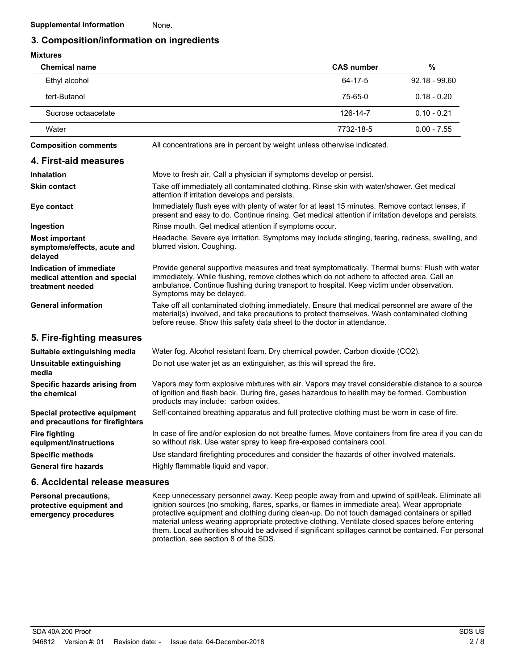### **3. Composition/information on ingredients**

## **Mixtures**

| <b>MIXTURES</b>                                                              |                                                                                                                                                                                                                                                                                                                      |                   |                 |
|------------------------------------------------------------------------------|----------------------------------------------------------------------------------------------------------------------------------------------------------------------------------------------------------------------------------------------------------------------------------------------------------------------|-------------------|-----------------|
| <b>Chemical name</b>                                                         |                                                                                                                                                                                                                                                                                                                      | <b>CAS number</b> | %               |
| Ethyl alcohol                                                                |                                                                                                                                                                                                                                                                                                                      | 64-17-5           | $92.18 - 99.60$ |
| tert-Butanol                                                                 |                                                                                                                                                                                                                                                                                                                      | 75-65-0           | $0.18 - 0.20$   |
| Sucrose octaacetate                                                          |                                                                                                                                                                                                                                                                                                                      | 126-14-7          | $0.10 - 0.21$   |
| Water                                                                        |                                                                                                                                                                                                                                                                                                                      | 7732-18-5         | $0.00 - 7.55$   |
| <b>Composition comments</b>                                                  | All concentrations are in percent by weight unless otherwise indicated.                                                                                                                                                                                                                                              |                   |                 |
| 4. First-aid measures                                                        |                                                                                                                                                                                                                                                                                                                      |                   |                 |
| <b>Inhalation</b>                                                            | Move to fresh air. Call a physician if symptoms develop or persist.                                                                                                                                                                                                                                                  |                   |                 |
| <b>Skin contact</b>                                                          | Take off immediately all contaminated clothing. Rinse skin with water/shower. Get medical<br>attention if irritation develops and persists.                                                                                                                                                                          |                   |                 |
| Eye contact                                                                  | Immediately flush eyes with plenty of water for at least 15 minutes. Remove contact lenses, if<br>present and easy to do. Continue rinsing. Get medical attention if irritation develops and persists.                                                                                                               |                   |                 |
| Ingestion                                                                    | Rinse mouth. Get medical attention if symptoms occur.                                                                                                                                                                                                                                                                |                   |                 |
| <b>Most important</b><br>symptoms/effects, acute and<br>delayed              | Headache. Severe eye irritation. Symptoms may include stinging, tearing, redness, swelling, and<br>blurred vision. Coughing.                                                                                                                                                                                         |                   |                 |
| Indication of immediate<br>medical attention and special<br>treatment needed | Provide general supportive measures and treat symptomatically. Thermal burns: Flush with water<br>immediately. While flushing, remove clothes which do not adhere to affected area. Call an<br>ambulance. Continue flushing during transport to hospital. Keep victim under observation.<br>Symptoms may be delayed. |                   |                 |
| <b>General information</b>                                                   | Take off all contaminated clothing immediately. Ensure that medical personnel are aware of the<br>material(s) involved, and take precautions to protect themselves. Wash contaminated clothing<br>before reuse. Show this safety data sheet to the doctor in attendance.                                             |                   |                 |
| 5. Fire-fighting measures                                                    |                                                                                                                                                                                                                                                                                                                      |                   |                 |
| Suitable extinguishing media                                                 | Water fog. Alcohol resistant foam. Dry chemical powder. Carbon dioxide (CO2).                                                                                                                                                                                                                                        |                   |                 |
| Unsuitable extinguishing<br>media                                            | Do not use water jet as an extinguisher, as this will spread the fire.                                                                                                                                                                                                                                               |                   |                 |
| Specific hazards arising from<br>the chemical                                | Vapors may form explosive mixtures with air. Vapors may travel considerable distance to a source<br>of ignition and flash back. During fire, gases hazardous to health may be formed. Combustion<br>products may include: carbon oxides.                                                                             |                   |                 |
| Special protective equipment<br>and precautions for firefighters             | Self-contained breathing apparatus and full protective clothing must be worn in case of fire.                                                                                                                                                                                                                        |                   |                 |
| <b>Fire fighting</b><br>equipment/instructions                               | In case of fire and/or explosion do not breathe fumes. Move containers from fire area if you can do<br>so without risk. Use water spray to keep fire-exposed containers cool.                                                                                                                                        |                   |                 |
| <b>Specific methods</b>                                                      | Use standard firefighting procedures and consider the hazards of other involved materials.                                                                                                                                                                                                                           |                   |                 |
| <b>General fire hazards</b>                                                  | Highly flammable liquid and vapor.                                                                                                                                                                                                                                                                                   |                   |                 |

#### **6. Accidental release measures**

Keep unnecessary personnel away. Keep people away from and upwind of spill/leak. Eliminate all ignition sources (no smoking, flares, sparks, or flames in immediate area). Wear appropriate protective equipment and clothing during clean-up. Do not touch damaged containers or spilled material unless wearing appropriate protective clothing. Ventilate closed spaces before entering them. Local authorities should be advised if significant spillages cannot be contained. For personal protection, see section 8 of the SDS. **Personal precautions, protective equipment and emergency procedures**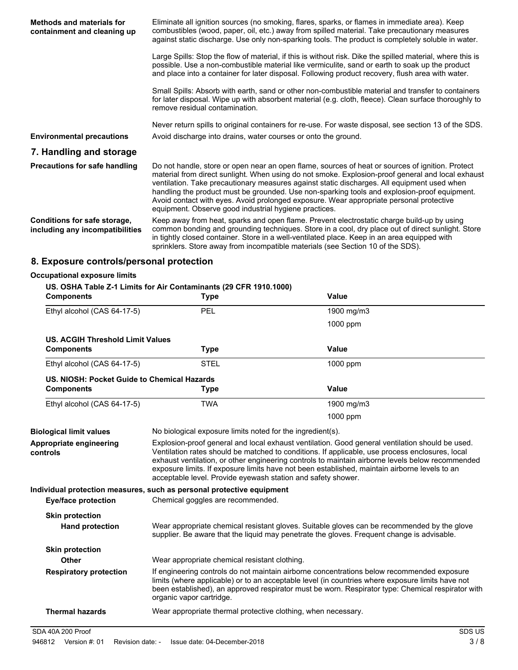| Methods and materials for<br>containment and cleaning up        | Eliminate all ignition sources (no smoking, flares, sparks, or flames in immediate area). Keep<br>combustibles (wood, paper, oil, etc.) away from spilled material. Take precautionary measures<br>against static discharge. Use only non-sparking tools. The product is completely soluble in water.                                                                                                                                                                                                                                                    |
|-----------------------------------------------------------------|----------------------------------------------------------------------------------------------------------------------------------------------------------------------------------------------------------------------------------------------------------------------------------------------------------------------------------------------------------------------------------------------------------------------------------------------------------------------------------------------------------------------------------------------------------|
|                                                                 | Large Spills: Stop the flow of material, if this is without risk. Dike the spilled material, where this is<br>possible. Use a non-combustible material like vermiculite, sand or earth to soak up the product<br>and place into a container for later disposal. Following product recovery, flush area with water.                                                                                                                                                                                                                                       |
|                                                                 | Small Spills: Absorb with earth, sand or other non-combustible material and transfer to containers<br>for later disposal. Wipe up with absorbent material (e.g. cloth, fleece). Clean surface thoroughly to<br>remove residual contamination.                                                                                                                                                                                                                                                                                                            |
| <b>Environmental precautions</b>                                | Never return spills to original containers for re-use. For waste disposal, see section 13 of the SDS.<br>Avoid discharge into drains, water courses or onto the ground.                                                                                                                                                                                                                                                                                                                                                                                  |
| 7. Handling and storage                                         |                                                                                                                                                                                                                                                                                                                                                                                                                                                                                                                                                          |
| <b>Precautions for safe handling</b>                            | Do not handle, store or open near an open flame, sources of heat or sources of ignition. Protect<br>material from direct sunlight. When using do not smoke. Explosion-proof general and local exhaust<br>ventilation. Take precautionary measures against static discharges. All equipment used when<br>handling the product must be grounded. Use non-sparking tools and explosion-proof equipment.<br>Avoid contact with eyes. Avoid prolonged exposure. Wear appropriate personal protective<br>equipment. Observe good industrial hygiene practices. |
| Conditions for safe storage,<br>including any incompatibilities | Keep away from heat, sparks and open flame. Prevent electrostatic charge build-up by using<br>common bonding and grounding techniques. Store in a cool, dry place out of direct sunlight. Store<br>in tightly closed container. Store in a well-ventilated place. Keep in an area equipped with<br>sprinklers. Store away from incompatible materials (see Section 10 of the SDS).                                                                                                                                                                       |
|                                                                 | .                                                                                                                                                                                                                                                                                                                                                                                                                                                                                                                                                        |

# **8. Exposure controls/personal protection**

| <b>Occupational exposure limits</b>         |                                                                                  |                                                                                                                                                                                                                                                                                                                                                                                                         |
|---------------------------------------------|----------------------------------------------------------------------------------|---------------------------------------------------------------------------------------------------------------------------------------------------------------------------------------------------------------------------------------------------------------------------------------------------------------------------------------------------------------------------------------------------------|
| <b>Components</b>                           | US. OSHA Table Z-1 Limits for Air Contaminants (29 CFR 1910.1000)<br><b>Type</b> | <b>Value</b>                                                                                                                                                                                                                                                                                                                                                                                            |
| Ethyl alcohol (CAS 64-17-5)                 | PEL                                                                              | 1900 mg/m3                                                                                                                                                                                                                                                                                                                                                                                              |
|                                             |                                                                                  | 1000 ppm                                                                                                                                                                                                                                                                                                                                                                                                |
| <b>US. ACGIH Threshold Limit Values</b>     |                                                                                  |                                                                                                                                                                                                                                                                                                                                                                                                         |
| <b>Components</b>                           | <b>Type</b>                                                                      | <b>Value</b>                                                                                                                                                                                                                                                                                                                                                                                            |
| Ethyl alcohol (CAS 64-17-5)                 | <b>STEL</b>                                                                      | 1000 ppm                                                                                                                                                                                                                                                                                                                                                                                                |
| US. NIOSH: Pocket Guide to Chemical Hazards |                                                                                  |                                                                                                                                                                                                                                                                                                                                                                                                         |
| <b>Components</b>                           | <b>Type</b>                                                                      | <b>Value</b>                                                                                                                                                                                                                                                                                                                                                                                            |
| Ethyl alcohol (CAS 64-17-5)                 | <b>TWA</b>                                                                       | 1900 mg/m3                                                                                                                                                                                                                                                                                                                                                                                              |
|                                             |                                                                                  | 1000 ppm                                                                                                                                                                                                                                                                                                                                                                                                |
| <b>Biological limit values</b>              | No biological exposure limits noted for the ingredient(s).                       |                                                                                                                                                                                                                                                                                                                                                                                                         |
| Appropriate engineering<br>controls         | acceptable level. Provide eyewash station and safety shower.                     | Explosion-proof general and local exhaust ventilation. Good general ventilation should be used.<br>Ventilation rates should be matched to conditions. If applicable, use process enclosures, local<br>exhaust ventilation, or other engineering controls to maintain airborne levels below recommended<br>exposure limits. If exposure limits have not been established, maintain airborne levels to an |
|                                             | Individual protection measures, such as personal protective equipment            |                                                                                                                                                                                                                                                                                                                                                                                                         |
| <b>Eye/face protection</b>                  | Chemical goggles are recommended.                                                |                                                                                                                                                                                                                                                                                                                                                                                                         |
| <b>Skin protection</b>                      |                                                                                  |                                                                                                                                                                                                                                                                                                                                                                                                         |
| <b>Hand protection</b>                      |                                                                                  | Wear appropriate chemical resistant gloves. Suitable gloves can be recommended by the glove<br>supplier. Be aware that the liquid may penetrate the gloves. Frequent change is advisable.                                                                                                                                                                                                               |
| <b>Skin protection</b>                      |                                                                                  |                                                                                                                                                                                                                                                                                                                                                                                                         |
| Other                                       | Wear appropriate chemical resistant clothing.                                    |                                                                                                                                                                                                                                                                                                                                                                                                         |
| <b>Respiratory protection</b>               | organic vapor cartridge.                                                         | If engineering controls do not maintain airborne concentrations below recommended exposure<br>limits (where applicable) or to an acceptable level (in countries where exposure limits have not<br>been established), an approved respirator must be worn. Respirator type: Chemical respirator with                                                                                                     |
| <b>Thermal hazards</b>                      | Wear appropriate thermal protective clothing, when necessary.                    |                                                                                                                                                                                                                                                                                                                                                                                                         |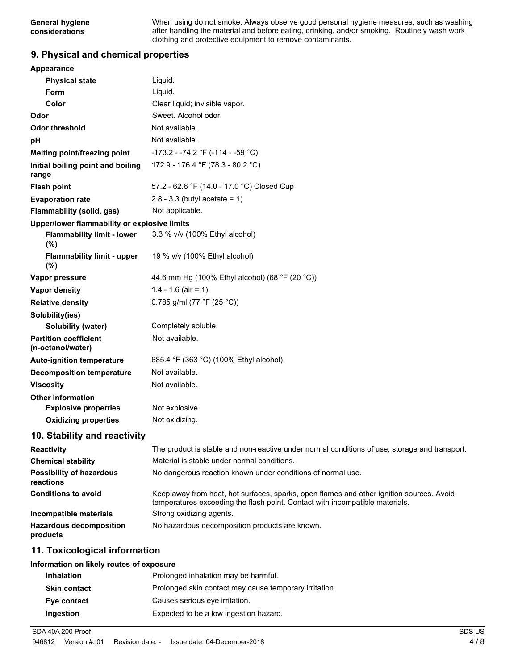When using do not smoke. Always observe good personal hygiene measures, such as washing after handling the material and before eating, drinking, and/or smoking. Routinely wash work clothing and protective equipment to remove contaminants.

### **9. Physical and chemical properties**

| <b>Appearance</b>                                 |                                                                                                                                                                          |
|---------------------------------------------------|--------------------------------------------------------------------------------------------------------------------------------------------------------------------------|
| <b>Physical state</b>                             | Liquid.                                                                                                                                                                  |
| <b>Form</b>                                       | Liquid.                                                                                                                                                                  |
| Color                                             | Clear liquid; invisible vapor.                                                                                                                                           |
| Odor                                              | Sweet. Alcohol odor.                                                                                                                                                     |
| <b>Odor threshold</b>                             | Not available.                                                                                                                                                           |
| рH                                                | Not available.                                                                                                                                                           |
| Melting point/freezing point                      | -173.2 - -74.2 °F (-114 - -59 °C)                                                                                                                                        |
| Initial boiling point and boiling<br>range        | 172.9 - 176.4 °F (78.3 - 80.2 °C)                                                                                                                                        |
| <b>Flash point</b>                                | 57.2 - 62.6 °F (14.0 - 17.0 °C) Closed Cup                                                                                                                               |
| <b>Evaporation rate</b>                           | $2.8 - 3.3$ (butyl acetate = 1)                                                                                                                                          |
| Flammability (solid, gas)                         | Not applicable.                                                                                                                                                          |
| Upper/lower flammability or explosive limits      |                                                                                                                                                                          |
| <b>Flammability limit - lower</b><br>$(\% )$      | 3.3 % v/v (100% Ethyl alcohol)                                                                                                                                           |
| <b>Flammability limit - upper</b><br>$(\% )$      | 19 % v/v (100% Ethyl alcohol)                                                                                                                                            |
| Vapor pressure                                    | 44.6 mm Hg (100% Ethyl alcohol) (68 °F (20 °C))                                                                                                                          |
| <b>Vapor density</b>                              | $1.4 - 1.6$ (air = 1)                                                                                                                                                    |
| <b>Relative density</b>                           | 0.785 g/ml (77 °F (25 °C))                                                                                                                                               |
| Solubility(ies)                                   |                                                                                                                                                                          |
| Solubility (water)                                | Completely soluble.                                                                                                                                                      |
| <b>Partition coefficient</b><br>(n-octanol/water) | Not available.                                                                                                                                                           |
| <b>Auto-ignition temperature</b>                  | 685.4 °F (363 °C) (100% Ethyl alcohol)                                                                                                                                   |
| <b>Decomposition temperature</b>                  | Not available.                                                                                                                                                           |
| <b>Viscosity</b>                                  | Not available.                                                                                                                                                           |
| <b>Other information</b>                          |                                                                                                                                                                          |
| <b>Explosive properties</b>                       | Not explosive.                                                                                                                                                           |
| <b>Oxidizing properties</b>                       | Not oxidizing.                                                                                                                                                           |
| 10. Stability and reactivity                      |                                                                                                                                                                          |
| <b>Reactivity</b>                                 | The product is stable and non-reactive under normal conditions of use, storage and transport.                                                                            |
| <b>Chemical stability</b>                         | Material is stable under normal conditions.                                                                                                                              |
| <b>Possibility of hazardous</b><br>reactions      | No dangerous reaction known under conditions of normal use.                                                                                                              |
| <b>Conditions to avoid</b>                        | Keep away from heat, hot surfaces, sparks, open flames and other ignition sources. Avoid<br>temperatures exceeding the flash point. Contact with incompatible materials. |
| Incompatible materials                            | Strong oxidizing agents.                                                                                                                                                 |
| <b>Hazardous decomposition</b><br>products        | No hazardous decomposition products are known.                                                                                                                           |
| 11. Toxicological information                     |                                                                                                                                                                          |

#### **Information on likely routes of exposure**

| Prolonged inhalation may be harmful.                   |
|--------------------------------------------------------|
| Prolonged skin contact may cause temporary irritation. |
| Causes serious eve irritation.                         |
| Expected to be a low ingestion hazard.                 |
|                                                        |

SDA 40A 200 Proof SDS US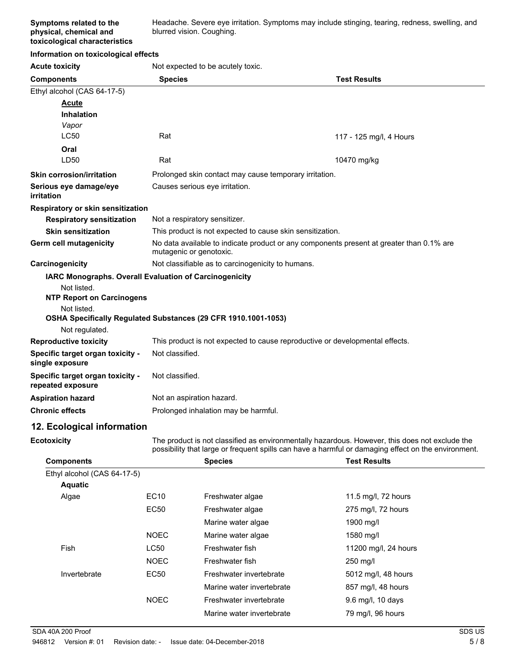Headache. Severe eye irritation. Symptoms may include stinging, tearing, redness, swelling, and blurred vision. Coughing.

#### **Information on toxicological effects**

**Acute toxicity** Not expected to be acutely toxic

| AVWW WAIVIN                                           |                                                                                                                     |                                                                              |  |
|-------------------------------------------------------|---------------------------------------------------------------------------------------------------------------------|------------------------------------------------------------------------------|--|
| <b>Components</b>                                     | <b>Species</b>                                                                                                      | <b>Test Results</b>                                                          |  |
| Ethyl alcohol (CAS 64-17-5)                           |                                                                                                                     |                                                                              |  |
| Acute                                                 |                                                                                                                     |                                                                              |  |
| <b>Inhalation</b>                                     |                                                                                                                     |                                                                              |  |
| Vapor                                                 |                                                                                                                     |                                                                              |  |
| <b>LC50</b>                                           | Rat                                                                                                                 | 117 - 125 mg/l, 4 Hours                                                      |  |
| Oral                                                  |                                                                                                                     |                                                                              |  |
| LD50                                                  | Rat                                                                                                                 | 10470 mg/kg                                                                  |  |
| <b>Skin corrosion/irritation</b>                      | Prolonged skin contact may cause temporary irritation.                                                              |                                                                              |  |
| Serious eye damage/eye<br>irritation                  | Causes serious eye irritation.                                                                                      |                                                                              |  |
| Respiratory or skin sensitization                     |                                                                                                                     |                                                                              |  |
| <b>Respiratory sensitization</b>                      | Not a respiratory sensitizer.                                                                                       |                                                                              |  |
| <b>Skin sensitization</b>                             |                                                                                                                     | This product is not expected to cause skin sensitization.                    |  |
| Germ cell mutagenicity                                | No data available to indicate product or any components present at greater than 0.1% are<br>mutagenic or genotoxic. |                                                                              |  |
| Carcinogenicity                                       | Not classifiable as to carcinogenicity to humans.                                                                   |                                                                              |  |
|                                                       | <b>IARC Monographs. Overall Evaluation of Carcinogenicity</b>                                                       |                                                                              |  |
| Not listed.                                           |                                                                                                                     |                                                                              |  |
| <b>NTP Report on Carcinogens</b>                      |                                                                                                                     |                                                                              |  |
| Not listed.                                           |                                                                                                                     |                                                                              |  |
|                                                       | OSHA Specifically Regulated Substances (29 CFR 1910.1001-1053)                                                      |                                                                              |  |
| Not regulated.<br><b>Reproductive toxicity</b>        |                                                                                                                     | This product is not expected to cause reproductive or developmental effects. |  |
|                                                       | Not classified.                                                                                                     |                                                                              |  |
| Specific target organ toxicity -<br>single exposure   |                                                                                                                     |                                                                              |  |
| Specific target organ toxicity -<br>repeated exposure | Not classified.                                                                                                     |                                                                              |  |
| <b>Aspiration hazard</b>                              | Not an aspiration hazard.                                                                                           |                                                                              |  |
| <b>Chronic effects</b>                                | Prolonged inhalation may be harmful.                                                                                |                                                                              |  |
|                                                       |                                                                                                                     |                                                                              |  |

#### **12. Ecological information**

**Ecotoxicity**

The product is not classified as environmentally hazardous. However, this does not exclude the possibility that large or frequent spills can have a harmful or damaging effect on the environment.

| <b>Components</b>           |             | <b>Species</b>            | <b>Test Results</b>  |  |
|-----------------------------|-------------|---------------------------|----------------------|--|
| Ethyl alcohol (CAS 64-17-5) |             |                           |                      |  |
| <b>Aquatic</b>              |             |                           |                      |  |
| Algae                       | EC10        | Freshwater algae          | 11.5 mg/l, 72 hours  |  |
|                             | <b>EC50</b> | Freshwater algae          | 275 mg/l, 72 hours   |  |
|                             |             | Marine water algae        | 1900 mg/l            |  |
|                             | <b>NOEC</b> | Marine water algae        | 1580 mg/l            |  |
| Fish                        | LC50        | Freshwater fish           | 11200 mg/l, 24 hours |  |
|                             | <b>NOEC</b> | Freshwater fish           | 250 mg/l             |  |
| Invertebrate                | EC50        | Freshwater invertebrate   | 5012 mg/l, 48 hours  |  |
|                             |             | Marine water invertebrate | 857 mg/l, 48 hours   |  |
|                             | <b>NOEC</b> | Freshwater invertebrate   | $9.6$ mg/l, 10 days  |  |
|                             |             | Marine water invertebrate | 79 mg/l, 96 hours    |  |
|                             |             |                           |                      |  |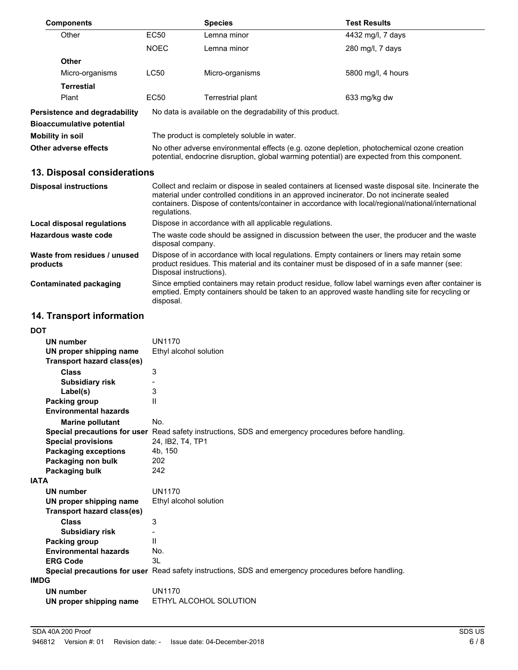| <b>Components</b>                    |                                                                                                                                                                                            | <b>Species</b>                                             | <b>Test Results</b>                                                                                                                                                                              |
|--------------------------------------|--------------------------------------------------------------------------------------------------------------------------------------------------------------------------------------------|------------------------------------------------------------|--------------------------------------------------------------------------------------------------------------------------------------------------------------------------------------------------|
| Other                                | EC50                                                                                                                                                                                       | Lemna minor                                                | 4432 mg/l, 7 days                                                                                                                                                                                |
|                                      | <b>NOEC</b>                                                                                                                                                                                | Lemna minor                                                | 280 mg/l, 7 days                                                                                                                                                                                 |
| <b>Other</b>                         |                                                                                                                                                                                            |                                                            |                                                                                                                                                                                                  |
| Micro-organisms                      | LC50                                                                                                                                                                                       | Micro-organisms                                            | 5800 mg/l, 4 hours                                                                                                                                                                               |
| <b>Terrestial</b>                    |                                                                                                                                                                                            |                                                            |                                                                                                                                                                                                  |
| Plant                                | EC50                                                                                                                                                                                       | Terrestrial plant                                          | 633 mg/kg dw                                                                                                                                                                                     |
| <b>Persistence and degradability</b> |                                                                                                                                                                                            | No data is available on the degradability of this product. |                                                                                                                                                                                                  |
| <b>Bioaccumulative potential</b>     |                                                                                                                                                                                            |                                                            |                                                                                                                                                                                                  |
| Mobility in soil                     |                                                                                                                                                                                            | The product is completely soluble in water.                |                                                                                                                                                                                                  |
| Other adverse effects                | No other adverse environmental effects (e.g. ozone depletion, photochemical ozone creation<br>potential, endocrine disruption, global warming potential) are expected from this component. |                                                            |                                                                                                                                                                                                  |
| 13. Disposal considerations          |                                                                                                                                                                                            |                                                            |                                                                                                                                                                                                  |
| <b>Disposal instructions</b>         |                                                                                                                                                                                            |                                                            | Collect and reclaim or dispose in sealed containers at licensed waste disposal site. Incinerate the<br>material under controlled conditions in an approved incinerator. Do not incinerate sealed |

|                                          | containers. Dispose of contents/container in accordance with local/regional/national/international<br>regulations.                                                                                                     |
|------------------------------------------|------------------------------------------------------------------------------------------------------------------------------------------------------------------------------------------------------------------------|
| Local disposal regulations               | Dispose in accordance with all applicable regulations.                                                                                                                                                                 |
| Hazardous waste code                     | The waste code should be assigned in discussion between the user, the producer and the waste<br>disposal company.                                                                                                      |
| Waste from residues / unused<br>products | Dispose of in accordance with local regulations. Empty containers or liners may retain some<br>product residues. This material and its container must be disposed of in a safe manner (see:<br>Disposal instructions). |
| <b>Contaminated packaging</b>            | Since emptied containers may retain product residue, follow label warnings even after container is<br>emptied. Empty containers should be taken to an approved waste handling site for recycling or<br>disposal.       |

# **14. Transport information**

| <b>DOT</b>                   |                                                                                                      |
|------------------------------|------------------------------------------------------------------------------------------------------|
| <b>UN number</b>             | <b>UN1170</b>                                                                                        |
| UN proper shipping name      | Ethyl alcohol solution                                                                               |
| Transport hazard class(es)   |                                                                                                      |
| <b>Class</b>                 | 3                                                                                                    |
| <b>Subsidiary risk</b>       |                                                                                                      |
| Label(s)                     | 3                                                                                                    |
| Packing group                | $\mathsf{II}$                                                                                        |
| <b>Environmental hazards</b> |                                                                                                      |
| <b>Marine pollutant</b>      | No.                                                                                                  |
|                              | Special precautions for user Read safety instructions, SDS and emergency procedures before handling. |
| <b>Special provisions</b>    | 24, IB2, T4, TP1                                                                                     |
| <b>Packaging exceptions</b>  | 4b, 150                                                                                              |
| Packaging non bulk           | 202                                                                                                  |
| Packaging bulk               | 242                                                                                                  |
| <b>IATA</b>                  |                                                                                                      |
| UN number                    | UN1170                                                                                               |
| UN proper shipping name      | Ethyl alcohol solution                                                                               |
| Transport hazard class(es)   |                                                                                                      |
| <b>Class</b>                 | 3                                                                                                    |
| <b>Subsidiary risk</b>       |                                                                                                      |
| Packing group                | $\mathsf{I}$                                                                                         |
| <b>Environmental hazards</b> | No.                                                                                                  |
| <b>ERG Code</b>              | 3L                                                                                                   |
|                              | Special precautions for user Read safety instructions, SDS and emergency procedures before handling. |
| <b>IMDG</b>                  |                                                                                                      |
| UN number                    | UN1170                                                                                               |
| UN proper shipping name      | ETHYL ALCOHOL SOLUTION                                                                               |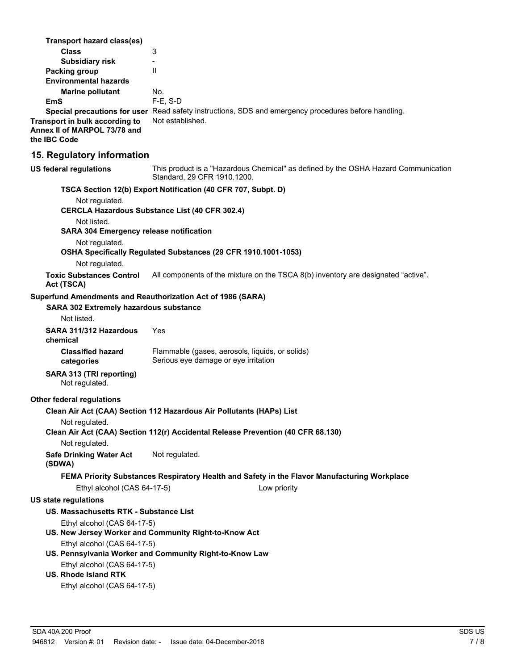| Transport hazard class(es)                                                     |                                                                                                                   |
|--------------------------------------------------------------------------------|-------------------------------------------------------------------------------------------------------------------|
| <b>Class</b>                                                                   | 3                                                                                                                 |
| <b>Subsidiary risk</b>                                                         | $\overline{\phantom{0}}$                                                                                          |
| <b>Packing group</b><br><b>Environmental hazards</b>                           | $\mathsf{I}$                                                                                                      |
| <b>Marine pollutant</b>                                                        | No.                                                                                                               |
| EmS                                                                            | F-E, S-D                                                                                                          |
|                                                                                | Special precautions for user Read safety instructions, SDS and emergency procedures before handling.              |
| Transport in bulk according to<br>Annex II of MARPOL 73/78 and<br>the IBC Code | Not established.                                                                                                  |
| 15. Regulatory information                                                     |                                                                                                                   |
| <b>US federal regulations</b>                                                  | This product is a "Hazardous Chemical" as defined by the OSHA Hazard Communication<br>Standard, 29 CFR 1910.1200. |
|                                                                                | TSCA Section 12(b) Export Notification (40 CFR 707, Subpt. D)                                                     |
| Not regulated.                                                                 | <b>CERCLA Hazardous Substance List (40 CFR 302.4)</b>                                                             |
| Not listed.                                                                    |                                                                                                                   |
| <b>SARA 304 Emergency release notification</b>                                 |                                                                                                                   |
| Not regulated.<br>Not regulated.                                               | OSHA Specifically Regulated Substances (29 CFR 1910.1001-1053)                                                    |
| <b>Toxic Substances Control</b><br>Act (TSCA)                                  | All components of the mixture on the TSCA 8(b) inventory are designated "active".                                 |
| Superfund Amendments and Reauthorization Act of 1986 (SARA)                    |                                                                                                                   |
| <b>SARA 302 Extremely hazardous substance</b>                                  |                                                                                                                   |
| Not listed.                                                                    |                                                                                                                   |
| SARA 311/312 Hazardous<br>chemical                                             | Yes                                                                                                               |
| <b>Classified hazard</b><br>categories                                         | Flammable (gases, aerosols, liquids, or solids)<br>Serious eye damage or eye irritation                           |
| SARA 313 (TRI reporting)<br>Not regulated.                                     |                                                                                                                   |
| <b>Other federal regulations</b>                                               |                                                                                                                   |
|                                                                                | Clean Air Act (CAA) Section 112 Hazardous Air Pollutants (HAPs) List                                              |
| Not regulated.                                                                 |                                                                                                                   |
|                                                                                | Clean Air Act (CAA) Section 112(r) Accidental Release Prevention (40 CFR 68.130)                                  |
| Not regulated.                                                                 |                                                                                                                   |
| <b>Safe Drinking Water Act</b><br>(SDWA)                                       | Not regulated.                                                                                                    |
|                                                                                | FEMA Priority Substances Respiratory Health and Safety in the Flavor Manufacturing Workplace                      |
| Ethyl alcohol (CAS 64-17-5)                                                    | Low priority                                                                                                      |
| <b>US state regulations</b>                                                    |                                                                                                                   |
| US. Massachusetts RTK - Substance List                                         |                                                                                                                   |
| Ethyl alcohol (CAS 64-17-5)                                                    |                                                                                                                   |
|                                                                                | US. New Jersey Worker and Community Right-to-Know Act                                                             |
| Ethyl alcohol (CAS 64-17-5)                                                    |                                                                                                                   |
|                                                                                | US. Pennsylvania Worker and Community Right-to-Know Law                                                           |
| Ethyl alcohol (CAS 64-17-5)<br><b>US. Rhode Island RTK</b>                     |                                                                                                                   |
| Ethyl alcohol (CAS 64-17-5)                                                    |                                                                                                                   |